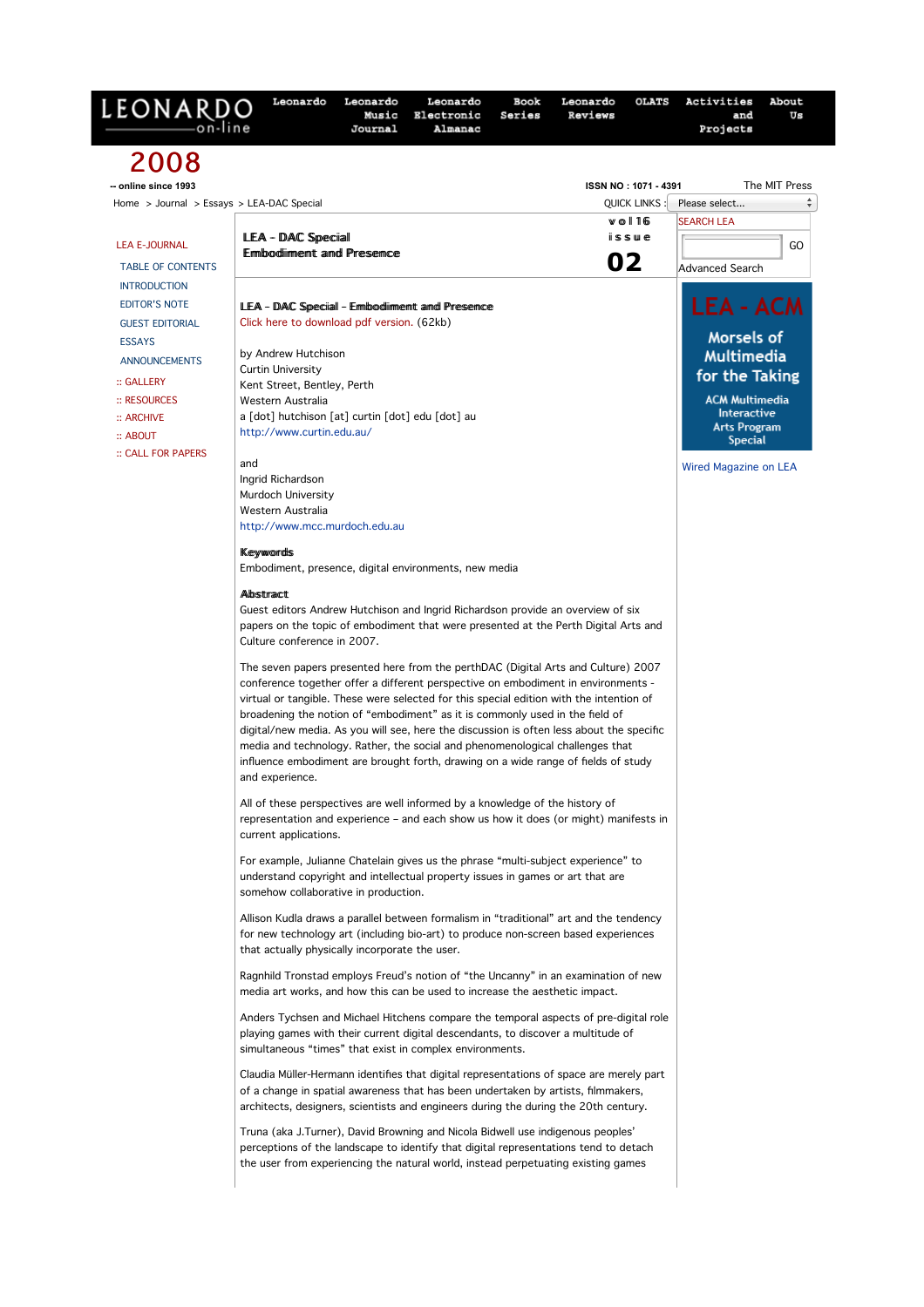| LEONARDO<br>on-line                       | Music<br>Electronic<br>Series<br>Reviews<br>Almanac<br>Journal                                                                                                                                                                                                                                                                                                                                                                                                                                                                                                                                                                          | and<br>Projects                    | Us            |
|-------------------------------------------|-----------------------------------------------------------------------------------------------------------------------------------------------------------------------------------------------------------------------------------------------------------------------------------------------------------------------------------------------------------------------------------------------------------------------------------------------------------------------------------------------------------------------------------------------------------------------------------------------------------------------------------------|------------------------------------|---------------|
| 2008                                      |                                                                                                                                                                                                                                                                                                                                                                                                                                                                                                                                                                                                                                         |                                    |               |
| -- online since 1993                      | ISSN NO: 1071 - 4391                                                                                                                                                                                                                                                                                                                                                                                                                                                                                                                                                                                                                    |                                    | The MIT Press |
| Home > Journal > Essays > LEA-DAC Special | <b>QUICK LINKS</b>                                                                                                                                                                                                                                                                                                                                                                                                                                                                                                                                                                                                                      | Please select                      |               |
|                                           | $W$ o   16                                                                                                                                                                                                                                                                                                                                                                                                                                                                                                                                                                                                                              | <b>SEARCH LEA</b>                  |               |
| <b>LEA E-JOURNAL</b>                      | LEA - DAC Special<br>issue<br><b>Embodiiment and Presence</b>                                                                                                                                                                                                                                                                                                                                                                                                                                                                                                                                                                           |                                    | GO            |
| <b>TABLE OF CONTENTS</b>                  | 02                                                                                                                                                                                                                                                                                                                                                                                                                                                                                                                                                                                                                                      | <b>Advanced Search</b>             |               |
| <b>INTRODUCTION</b>                       |                                                                                                                                                                                                                                                                                                                                                                                                                                                                                                                                                                                                                                         |                                    |               |
| <b>EDITOR'S NOTE</b>                      | LEA - DAC Special - Ermbodiiment and Presence                                                                                                                                                                                                                                                                                                                                                                                                                                                                                                                                                                                           | <b>LEA - ACM</b>                   |               |
| <b>GUEST EDITORIAL</b>                    | Click here to download pdf version. (62kb)                                                                                                                                                                                                                                                                                                                                                                                                                                                                                                                                                                                              |                                    |               |
| <b>ESSAYS</b>                             |                                                                                                                                                                                                                                                                                                                                                                                                                                                                                                                                                                                                                                         | Morsels of                         |               |
| <b>ANNOUNCEMENTS</b>                      | by Andrew Hutchison<br><b>Curtin University</b>                                                                                                                                                                                                                                                                                                                                                                                                                                                                                                                                                                                         | <b>Multimedia</b>                  |               |
| :: GALLERY                                | Kent Street, Bentley, Perth                                                                                                                                                                                                                                                                                                                                                                                                                                                                                                                                                                                                             | for the Taking                     |               |
| $::$ RESOURCES                            | Western Australia                                                                                                                                                                                                                                                                                                                                                                                                                                                                                                                                                                                                                       | <b>ACM Multimedia</b>              |               |
| $::$ ARCHIVE                              | a [dot] hutchison [at] curtin [dot] edu [dot] au                                                                                                                                                                                                                                                                                                                                                                                                                                                                                                                                                                                        | Interactive<br><b>Arts Program</b> |               |
| $::$ ABOUT                                | http://www.curtin.edu.au/                                                                                                                                                                                                                                                                                                                                                                                                                                                                                                                                                                                                               | <b>Special</b>                     |               |
| :: CALL FOR PAPERS                        | and                                                                                                                                                                                                                                                                                                                                                                                                                                                                                                                                                                                                                                     |                                    |               |
|                                           | Ingrid Richardson                                                                                                                                                                                                                                                                                                                                                                                                                                                                                                                                                                                                                       | <b>Wired Magazine on LEA</b>       |               |
|                                           | Murdoch University                                                                                                                                                                                                                                                                                                                                                                                                                                                                                                                                                                                                                      |                                    |               |
|                                           | Western Australia                                                                                                                                                                                                                                                                                                                                                                                                                                                                                                                                                                                                                       |                                    |               |
|                                           | http://www.mcc.murdoch.edu.au                                                                                                                                                                                                                                                                                                                                                                                                                                                                                                                                                                                                           |                                    |               |
|                                           | <b>Keywords</b>                                                                                                                                                                                                                                                                                                                                                                                                                                                                                                                                                                                                                         |                                    |               |
|                                           | Embodiment, presence, digital environments, new media                                                                                                                                                                                                                                                                                                                                                                                                                                                                                                                                                                                   |                                    |               |
|                                           | Albstract                                                                                                                                                                                                                                                                                                                                                                                                                                                                                                                                                                                                                               |                                    |               |
|                                           | Guest editors Andrew Hutchison and Ingrid Richardson provide an overview of six                                                                                                                                                                                                                                                                                                                                                                                                                                                                                                                                                         |                                    |               |
|                                           | papers on the topic of embodiment that were presented at the Perth Digital Arts and                                                                                                                                                                                                                                                                                                                                                                                                                                                                                                                                                     |                                    |               |
|                                           | Culture conference in 2007.                                                                                                                                                                                                                                                                                                                                                                                                                                                                                                                                                                                                             |                                    |               |
|                                           | The seven papers presented here from the perthDAC (Digital Arts and Culture) 2007<br>conference together offer a different perspective on embodiment in environments -<br>virtual or tangible. These were selected for this special edition with the intention of<br>broadening the notion of "embodiment" as it is commonly used in the field of<br>digital/new media. As you will see, here the discussion is often less about the specific<br>media and technology. Rather, the social and phenomenological challenges that<br>influence embodiment are brought forth, drawing on a wide range of fields of study<br>and experience. |                                    |               |
|                                           | All of these perspectives are well informed by a knowledge of the history of<br>representation and experience - and each show us how it does (or might) manifests in<br>current applications.                                                                                                                                                                                                                                                                                                                                                                                                                                           |                                    |               |
|                                           | For example, Julianne Chatelain gives us the phrase "multi-subject experience" to<br>understand copyright and intellectual property issues in games or art that are<br>somehow collaborative in production.                                                                                                                                                                                                                                                                                                                                                                                                                             |                                    |               |
|                                           | Allison Kudla draws a parallel between formalism in "traditional" art and the tendency<br>for new technology art (including bio-art) to produce non-screen based experiences<br>that actually physically incorporate the user.                                                                                                                                                                                                                                                                                                                                                                                                          |                                    |               |
|                                           | Ragnhild Tronstad employs Freud's notion of "the Uncanny" in an examination of new<br>media art works, and how this can be used to increase the aesthetic impact.                                                                                                                                                                                                                                                                                                                                                                                                                                                                       |                                    |               |
|                                           | Anders Tychsen and Michael Hitchens compare the temporal aspects of pre-digital role<br>playing games with their current digital descendants, to discover a multitude of<br>simultaneous "times" that exist in complex environments.                                                                                                                                                                                                                                                                                                                                                                                                    |                                    |               |
|                                           | Claudia Müller-Hermann identifies that digital representations of space are merely part<br>of a change in spatial awareness that has been undertaken by artists, filmmakers,<br>architects, designers, scientists and engineers during the during the 20th century.                                                                                                                                                                                                                                                                                                                                                                     |                                    |               |
|                                           | Truna (aka J.Turner), David Browning and Nicola Bidwell use indigenous peoples'<br>perceptions of the landscape to identify that digital representations tend to detach<br>the user from experiencing the natural world, instead perpetuating existing games                                                                                                                                                                                                                                                                                                                                                                            |                                    |               |